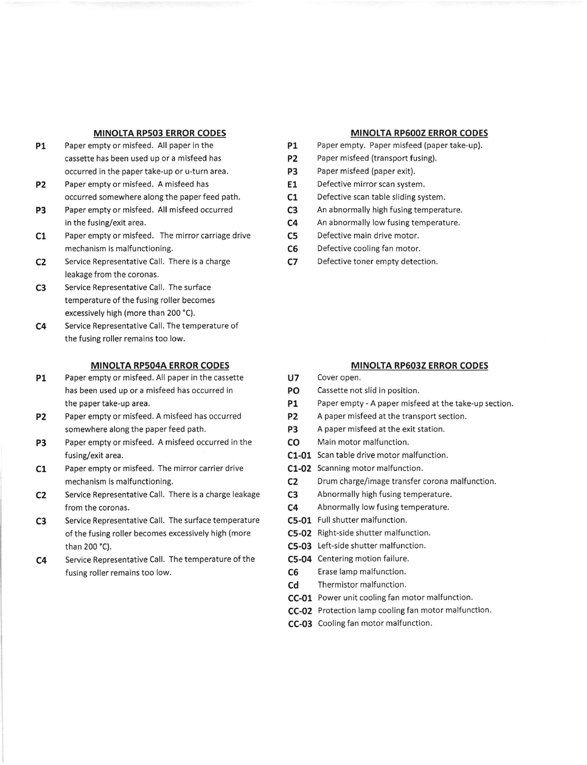### MINOLTA RP5O3 ERROR CODES

- PI Paper empty or misfeed. All paper in the cassette has been used up or a misfeed has occurred in the paper take-up or u-turn area.
- P2 Paper empty or misfeed. A misfeed has occurred somewhere along the paper feed path. Paper empty or misfeed. All misfeed occurred
- P3 in the fusing/exit area.
- c1 Paper empty or misfeed. The mirror carriage drive mechanism is malfunctioning.
- c2 Service Representative Call. There is a charge leakage from the coronas.
- c3 Service Representative Call. The surface temperature of the fusing roller becomes excessively high (more than 200'C).
- c4 Service Representative Call. The temperature of the fusing roller remains too low.

## MINOLTA RP5O4A ERROR CODES

- P1 Paper empty or misfeed. All paper in the cassette has been used up or a misfeed has occurred in the paper take-up area.
- P2 Paper empty or misfeed. A misfeed has occurred somewhere along the paper feed path,
- P3 Paper empty or misfeed, A misfeed occurred in the fusing/exit area.
- c1 Paper empty or misfeed. The mirror carrier drive mechanism is malfunctioning,
- c2 Service Representative Call. There is a charge leakage from the coronas,
- c3 Service Representative Call. The surface temperature of the fusing roller becomes excessively high (more than 200 "C).
- Service Representative Call. The temperature of the fusing roller remains too low. c4

### MINOLTA RP6OOZ ERROR CODES

- Paper empty. Paper misfeed (paper take-up). P1
- Paper misfeed (transport fusing). P2
- Paper misfeed (paper exit). P3
- Defective mirror scan system. E1
- Defective scan table sliding system.  $C<sub>1</sub>$
- An abnormally high fusing temperature. c3
- An abnormally low fusing temperature.  $C<sub>4</sub>$
- Defective main drive motor. c5
- Defective cooling fan motor. c6
- Defective toner empty detection. c7

### MINOLTA RP6032 ERROR CODES

- U7 Cover open.
- PO Cassette not slid in position.
- P1 Paper empty A paper misfeed at the take-up section.
- P2 A paper misfeed at the transport section.
- P3 A paper misfeed at the exit station.
- CO Main motor malfunction.
- C1-01 Scan table drive motor malfunction.
- C1-02 Scanning motor malfunction.
- C2 Drum charge/image transfer corona malfunction,
- C3 Abnormally high fusing temperature.
- C4 Abnormally low fusing temperature.
- C5-01 Full shutter malfunction.
- C5-02 Right-side shutter malfunction.
- C5-03 Left-side shutter malfunction.
- C5-04 Centering motion failure.
- C6 Erase lamp malfunction.
- Cd Thermistor malfunction.
- CC-o1 Power unit cooling fan motor malfunction.
- CC-o2 Protection lamp cooling fan motor malfunction.
- CC-03 Cooling fan motor malfunction.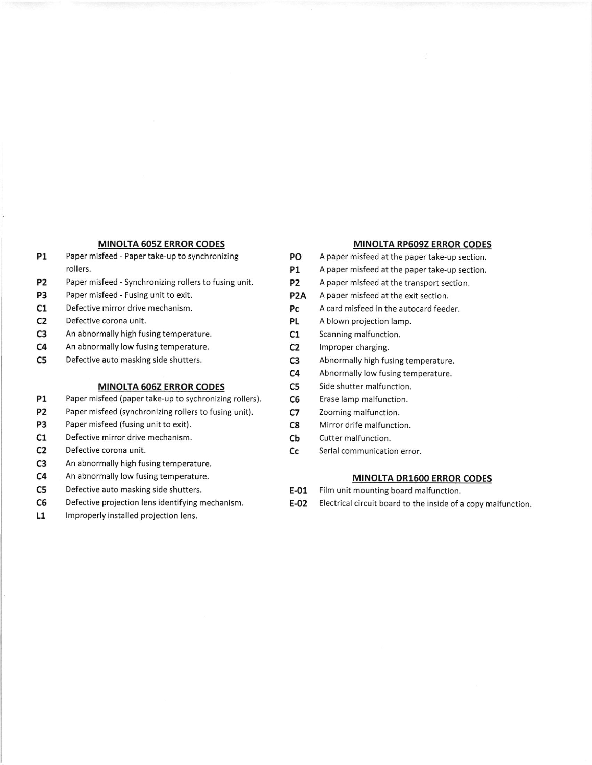- P1 Paper misfeed Paper take-up to synchronizing PO A paper misfeed at the paper take-up section. rollers. The paper misfeed at the paper take-up section.
- P2 Paper misfeed Synchronizing rollers to fusing unit. P2 A paper misfeed at the transport section.
- P3 Paper misfeed Fusing unit to exit. P2A A paper misfeed at the exit section.
- 
- C2 Defective corona unit. The control of the corona unit. PL A blown projection lamp.
- C3 An abnormally high fusing temperature. C1 Scanning malfunction.
- C4 An abnormally low fusing temperature. C2 Improper charging.
- C5 Defective auto masking side shutters. C3 Abnormally high fusing temperature.

# MINOLTA 606Z ERROR CODES C5 Side shutter malfunction.

- P1 Paper misfeed (paper take-up to sychronizing rollers). C6 Erase lamp malfunction.
- P2 Paper misfeed (synchronizing rollers to fusing unit). C7 Zooming malfunction.
- **P3** Paper misfeed (fusing unit to exit). C8 Mirror drife malfunction.
- C1 Defective mirror drive mechanism. Cb Cutter malfunction.
- 
- C3 An abnormally high fusing temperature.
- C4 An abnormally low fusing temperature. MINOLTA DR1600 ERROR CODES
- C5 Defective auto masking side shutters. The Second Let all the U.S. Control Film unit mounting board malfunction.
- 
- L1 Improperly installed projection lens.

# MINOTTA 605Z ERROR CODES MINOLTA RP6O9Z ERROR CODES

- 
- 
- 
- 
- C1 Defective mirror drive mechanism. Pc A card misfeed in the autocard feeder.
	-
	-
	-
	-
	- C4 Abnormally low fusing temperature.
	-
	-
	-
	-
	-
- C<sub>2</sub> Defective corona unit. C<sub>c</sub> Serial communication error.

- 
- C6 Defective projection lens identifying mechanism. **E-02** Electrical circuit board to the inside of a copy malfunction.